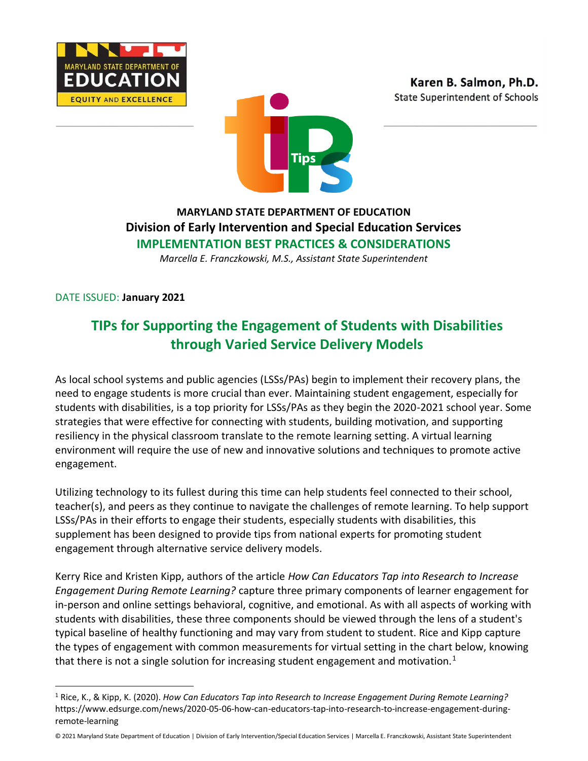





## **MARYLAND STATE DEPARTMENT OF EDUCATION Division of Early Intervention and Special Education Services IMPLEMENTATION BEST PRACTICES & CONSIDERATIONS**

*Marcella E. Franczkowski, M.S., Assistant State Superintendent*

DATE ISSUED: **January 2021**

# **TIPs for Supporting the Engagement of Students with Disabilities through Varied Service Delivery Models**

As local school systems and public agencies (LSSs/PAs) begin to implement their recovery plans, the need to engage students is more crucial than ever. Maintaining student engagement, especially for students with disabilities, is a top priority for LSSs/PAs as they begin the 2020-2021 school year. Some strategies that were effective for connecting with students, building motivation, and supporting resiliency in the physical classroom translate to the remote learning setting. A virtual learning environment will require the use of new and innovative solutions and techniques to promote active engagement.

Utilizing technology to its fullest during this time can help students feel connected to their school, teacher(s), and peers as they continue to navigate the challenges of remote learning. To help support LSSs/PAs in their efforts to engage their students, especially students with disabilities, this supplement has been designed to provide tips from national experts for promoting student engagement through alternative service delivery models.

Kerry Rice and Kristen Kipp, authors of the article *How Can Educators Tap into Research to Increase Engagement During Remote Learning?* capture three primary components of learner engagement for in-person and online settings behavioral, cognitive, and emotional. As with all aspects of working with students with disabilities, these three components should be viewed through the lens of a student's typical baseline of healthy functioning and may vary from student to student. Rice and Kipp capture the types of engagement with common measurements for virtual setting in the chart below, knowing that there is not a single solution for increasing student engagement and motivation.<sup>1</sup>

<sup>1</sup> Rice, K., & Kipp, K. (2020). *How Can Educators Tap into Research to Increase Engagement During Remote Learning?* https://www.edsurge.com/news/2020-05-06-how-can-educators-tap-into-research-to-increase-engagement-duringremote-learning

<sup>© 2021</sup> Maryland State Department of Education | Division of Early Intervention/Special Education Services | Marcella E. Franczkowski, Assistant State Superintendent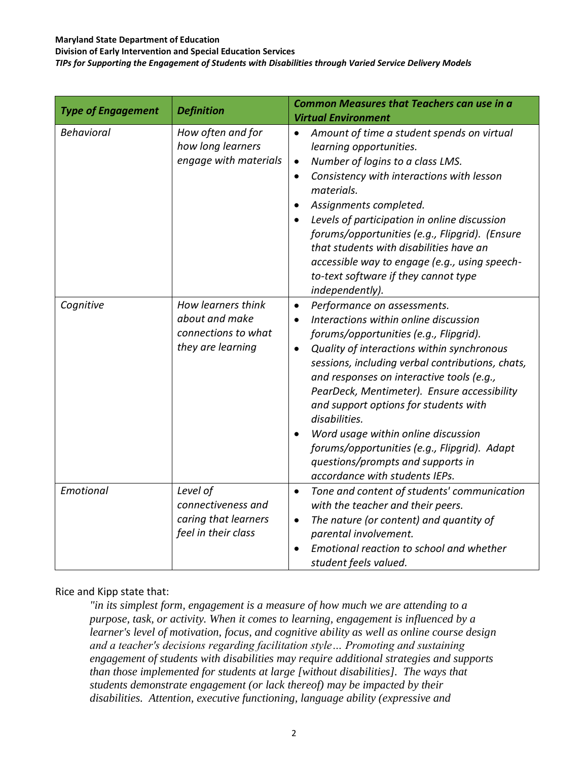**Division of Early Intervention and Special Education Services**

*TIPs for Supporting the Engagement of Students with Disabilities through Varied Service Delivery Models*

| <b>Type of Engagement</b> | <b>Definition</b>                                                                | <b>Common Measures that Teachers can use in a</b><br><b>Virtual Environment</b>                                                                                                                                                                                                                                                                                                                                                                                                                                                                                             |
|---------------------------|----------------------------------------------------------------------------------|-----------------------------------------------------------------------------------------------------------------------------------------------------------------------------------------------------------------------------------------------------------------------------------------------------------------------------------------------------------------------------------------------------------------------------------------------------------------------------------------------------------------------------------------------------------------------------|
| <b>Behavioral</b>         | How often and for<br>how long learners<br>engage with materials                  | Amount of time a student spends on virtual<br>$\bullet$<br>learning opportunities.<br>Number of logins to a class LMS.<br>$\bullet$<br>Consistency with interactions with lesson<br>$\bullet$<br>materials.<br>Assignments completed.<br>$\bullet$<br>Levels of participation in online discussion<br>forums/opportunities (e.g., Flipgrid). (Ensure<br>that students with disabilities have an<br>accessible way to engage (e.g., using speech-<br>to-text software if they cannot type<br>independently).                                                                 |
| Cognitive                 | How learners think<br>about and make<br>connections to what<br>they are learning | Performance on assessments.<br>$\bullet$<br>Interactions within online discussion<br>$\bullet$<br>forums/opportunities (e.g., Flipgrid).<br>Quality of interactions within synchronous<br>$\bullet$<br>sessions, including verbal contributions, chats,<br>and responses on interactive tools (e.g.,<br>PearDeck, Mentimeter). Ensure accessibility<br>and support options for students with<br>disabilities.<br>Word usage within online discussion<br>forums/opportunities (e.g., Flipgrid). Adapt<br>questions/prompts and supports in<br>accordance with students IEPs. |
| Emotional                 | Level of<br>connectiveness and<br>caring that learners<br>feel in their class    | Tone and content of students' communication<br>$\bullet$<br>with the teacher and their peers.<br>The nature (or content) and quantity of<br>$\bullet$<br>parental involvement.<br>Emotional reaction to school and whether<br>$\bullet$<br>student feels valued.                                                                                                                                                                                                                                                                                                            |

#### Rice and Kipp state that:

*"in its simplest form, engagement is a measure of how much we are attending to a purpose, task, or activity. When it comes to learning, engagement is influenced by a learner's level of motivation, focus, and cognitive ability as well as online course design and a teacher's decisions regarding facilitation style… Promoting and sustaining engagement of students with disabilities may require additional strategies and supports than those implemented for students at large [without disabilities]. The ways that students demonstrate engagement (or lack thereof) may be impacted by their disabilities. Attention, executive functioning, language ability (expressive and*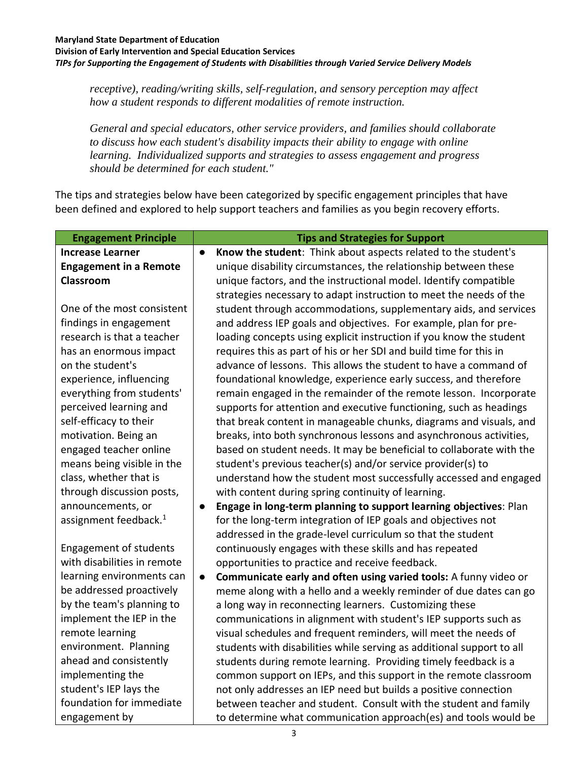#### **Maryland State Department of Education Division of Early Intervention and Special Education Services** *TIPs for Supporting the Engagement of Students with Disabilities through Varied Service Delivery Models*

*receptive), reading/writing skills, self-regulation, and sensory perception may affect how a student responds to different modalities of remote instruction.*

*General and special educators, other service providers, and families should collaborate to discuss how each student's disability impacts their ability to engage with online learning. Individualized supports and strategies to assess engagement and progress should be determined for each student."*

The tips and strategies below have been categorized by specific engagement principles that have been defined and explored to help support teachers and families as you begin recovery efforts.

| <b>Engagement Principle</b>       |           | <b>Tips and Strategies for Support</b>                                |
|-----------------------------------|-----------|-----------------------------------------------------------------------|
| <b>Increase Learner</b>           | $\bullet$ | Know the student: Think about aspects related to the student's        |
| <b>Engagement in a Remote</b>     |           | unique disability circumstances, the relationship between these       |
| Classroom                         |           | unique factors, and the instructional model. Identify compatible      |
|                                   |           | strategies necessary to adapt instruction to meet the needs of the    |
| One of the most consistent        |           | student through accommodations, supplementary aids, and services      |
| findings in engagement            |           | and address IEP goals and objectives. For example, plan for pre-      |
| research is that a teacher        |           | loading concepts using explicit instruction if you know the student   |
| has an enormous impact            |           | requires this as part of his or her SDI and build time for this in    |
| on the student's                  |           | advance of lessons. This allows the student to have a command of      |
| experience, influencing           |           | foundational knowledge, experience early success, and therefore       |
| everything from students'         |           | remain engaged in the remainder of the remote lesson. Incorporate     |
| perceived learning and            |           | supports for attention and executive functioning, such as headings    |
| self-efficacy to their            |           | that break content in manageable chunks, diagrams and visuals, and    |
| motivation. Being an              |           | breaks, into both synchronous lessons and asynchronous activities,    |
| engaged teacher online            |           | based on student needs. It may be beneficial to collaborate with the  |
| means being visible in the        |           | student's previous teacher(s) and/or service provider(s) to           |
| class, whether that is            |           | understand how the student most successfully accessed and engaged     |
| through discussion posts,         |           | with content during spring continuity of learning.                    |
| announcements, or                 | $\bullet$ | Engage in long-term planning to support learning objectives: Plan     |
| assignment feedback. <sup>1</sup> |           | for the long-term integration of IEP goals and objectives not         |
|                                   |           | addressed in the grade-level curriculum so that the student           |
| <b>Engagement of students</b>     |           | continuously engages with these skills and has repeated               |
| with disabilities in remote       |           | opportunities to practice and receive feedback.                       |
| learning environments can         | $\bullet$ | Communicate early and often using varied tools: A funny video or      |
| be addressed proactively          |           | meme along with a hello and a weekly reminder of due dates can go     |
| by the team's planning to         |           | a long way in reconnecting learners. Customizing these                |
| implement the IEP in the          |           | communications in alignment with student's IEP supports such as       |
| remote learning                   |           | visual schedules and frequent reminders, will meet the needs of       |
| environment. Planning             |           | students with disabilities while serving as additional support to all |
| ahead and consistently            |           | students during remote learning. Providing timely feedback is a       |
| implementing the                  |           | common support on IEPs, and this support in the remote classroom      |
| student's IEP lays the            |           | not only addresses an IEP need but builds a positive connection       |
| foundation for immediate          |           | between teacher and student. Consult with the student and family      |
| engagement by                     |           | to determine what communication approach(es) and tools would be       |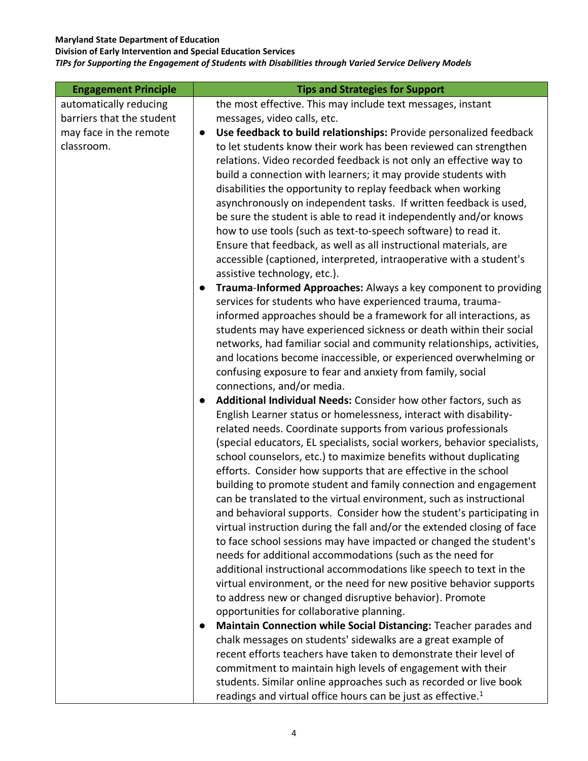**Division of Early Intervention and Special Education Services**

| <b>Engagement Principle</b> | <b>Tips and Strategies for Support</b>                                                   |
|-----------------------------|------------------------------------------------------------------------------------------|
| automatically reducing      | the most effective. This may include text messages, instant                              |
| barriers that the student   | messages, video calls, etc.                                                              |
| may face in the remote      | Use feedback to build relationships: Provide personalized feedback<br>$\bullet$          |
| classroom.                  | to let students know their work has been reviewed can strengthen                         |
|                             | relations. Video recorded feedback is not only an effective way to                       |
|                             | build a connection with learners; it may provide students with                           |
|                             | disabilities the opportunity to replay feedback when working                             |
|                             | asynchronously on independent tasks. If written feedback is used,                        |
|                             | be sure the student is able to read it independently and/or knows                        |
|                             | how to use tools (such as text-to-speech software) to read it.                           |
|                             | Ensure that feedback, as well as all instructional materials, are                        |
|                             | accessible (captioned, interpreted, intraoperative with a student's                      |
|                             | assistive technology, etc.).                                                             |
|                             | Trauma-Informed Approaches: Always a key component to providing<br>$\bullet$             |
|                             | services for students who have experienced trauma, trauma-                               |
|                             | informed approaches should be a framework for all interactions, as                       |
|                             | students may have experienced sickness or death within their social                      |
|                             | networks, had familiar social and community relationships, activities,                   |
|                             | and locations become inaccessible, or experienced overwhelming or                        |
|                             | confusing exposure to fear and anxiety from family, social<br>connections, and/or media. |
|                             | Additional Individual Needs: Consider how other factors, such as<br>$\bullet$            |
|                             | English Learner status or homelessness, interact with disability-                        |
|                             | related needs. Coordinate supports from various professionals                            |
|                             | (special educators, EL specialists, social workers, behavior specialists,                |
|                             | school counselors, etc.) to maximize benefits without duplicating                        |
|                             | efforts. Consider how supports that are effective in the school                          |
|                             | building to promote student and family connection and engagement                         |
|                             | can be translated to the virtual environment, such as instructional                      |
|                             | and behavioral supports. Consider how the student's participating in                     |
|                             | virtual instruction during the fall and/or the extended closing of face                  |
|                             | to face school sessions may have impacted or changed the student's                       |
|                             | needs for additional accommodations (such as the need for                                |
|                             | additional instructional accommodations like speech to text in the                       |
|                             | virtual environment, or the need for new positive behavior supports                      |
|                             | to address new or changed disruptive behavior). Promote                                  |
|                             | opportunities for collaborative planning.                                                |
|                             | Maintain Connection while Social Distancing: Teacher parades and<br>$\bullet$            |
|                             | chalk messages on students' sidewalks are a great example of                             |
|                             | recent efforts teachers have taken to demonstrate their level of                         |
|                             | commitment to maintain high levels of engagement with their                              |
|                             | students. Similar online approaches such as recorded or live book                        |
|                             | readings and virtual office hours can be just as effective. <sup>1</sup>                 |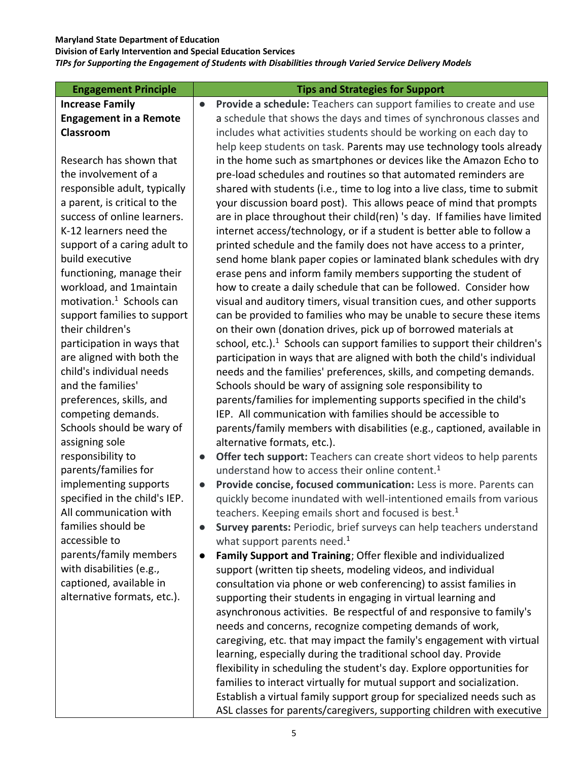**Division of Early Intervention and Special Education Services**

| <b>Engagement Principle</b>                                                                                                                                                                                                                                                                                                                                                                                                                                                                                           | <b>Tips and Strategies for Support</b>                                                                                                                                                                                                                                                                                                                                                                                                                                                                                                                                                                                                                                                                                                                                                                                                                                                                                                                                                                                                                                                                                                                                                                                                                                                                                                                                                                                                                                                                                                                                                                                                                                                                                                                                                                                                                                                                                                                                  |
|-----------------------------------------------------------------------------------------------------------------------------------------------------------------------------------------------------------------------------------------------------------------------------------------------------------------------------------------------------------------------------------------------------------------------------------------------------------------------------------------------------------------------|-------------------------------------------------------------------------------------------------------------------------------------------------------------------------------------------------------------------------------------------------------------------------------------------------------------------------------------------------------------------------------------------------------------------------------------------------------------------------------------------------------------------------------------------------------------------------------------------------------------------------------------------------------------------------------------------------------------------------------------------------------------------------------------------------------------------------------------------------------------------------------------------------------------------------------------------------------------------------------------------------------------------------------------------------------------------------------------------------------------------------------------------------------------------------------------------------------------------------------------------------------------------------------------------------------------------------------------------------------------------------------------------------------------------------------------------------------------------------------------------------------------------------------------------------------------------------------------------------------------------------------------------------------------------------------------------------------------------------------------------------------------------------------------------------------------------------------------------------------------------------------------------------------------------------------------------------------------------------|
| <b>Increase Family</b>                                                                                                                                                                                                                                                                                                                                                                                                                                                                                                | Provide a schedule: Teachers can support families to create and use<br>$\bullet$                                                                                                                                                                                                                                                                                                                                                                                                                                                                                                                                                                                                                                                                                                                                                                                                                                                                                                                                                                                                                                                                                                                                                                                                                                                                                                                                                                                                                                                                                                                                                                                                                                                                                                                                                                                                                                                                                        |
| <b>Engagement in a Remote</b>                                                                                                                                                                                                                                                                                                                                                                                                                                                                                         | a schedule that shows the days and times of synchronous classes and                                                                                                                                                                                                                                                                                                                                                                                                                                                                                                                                                                                                                                                                                                                                                                                                                                                                                                                                                                                                                                                                                                                                                                                                                                                                                                                                                                                                                                                                                                                                                                                                                                                                                                                                                                                                                                                                                                     |
| Classroom                                                                                                                                                                                                                                                                                                                                                                                                                                                                                                             | includes what activities students should be working on each day to                                                                                                                                                                                                                                                                                                                                                                                                                                                                                                                                                                                                                                                                                                                                                                                                                                                                                                                                                                                                                                                                                                                                                                                                                                                                                                                                                                                                                                                                                                                                                                                                                                                                                                                                                                                                                                                                                                      |
|                                                                                                                                                                                                                                                                                                                                                                                                                                                                                                                       | help keep students on task. Parents may use technology tools already                                                                                                                                                                                                                                                                                                                                                                                                                                                                                                                                                                                                                                                                                                                                                                                                                                                                                                                                                                                                                                                                                                                                                                                                                                                                                                                                                                                                                                                                                                                                                                                                                                                                                                                                                                                                                                                                                                    |
| Research has shown that                                                                                                                                                                                                                                                                                                                                                                                                                                                                                               | in the home such as smartphones or devices like the Amazon Echo to                                                                                                                                                                                                                                                                                                                                                                                                                                                                                                                                                                                                                                                                                                                                                                                                                                                                                                                                                                                                                                                                                                                                                                                                                                                                                                                                                                                                                                                                                                                                                                                                                                                                                                                                                                                                                                                                                                      |
| the involvement of a                                                                                                                                                                                                                                                                                                                                                                                                                                                                                                  | pre-load schedules and routines so that automated reminders are                                                                                                                                                                                                                                                                                                                                                                                                                                                                                                                                                                                                                                                                                                                                                                                                                                                                                                                                                                                                                                                                                                                                                                                                                                                                                                                                                                                                                                                                                                                                                                                                                                                                                                                                                                                                                                                                                                         |
| responsible adult, typically                                                                                                                                                                                                                                                                                                                                                                                                                                                                                          | shared with students (i.e., time to log into a live class, time to submit                                                                                                                                                                                                                                                                                                                                                                                                                                                                                                                                                                                                                                                                                                                                                                                                                                                                                                                                                                                                                                                                                                                                                                                                                                                                                                                                                                                                                                                                                                                                                                                                                                                                                                                                                                                                                                                                                               |
| a parent, is critical to the                                                                                                                                                                                                                                                                                                                                                                                                                                                                                          | your discussion board post). This allows peace of mind that prompts                                                                                                                                                                                                                                                                                                                                                                                                                                                                                                                                                                                                                                                                                                                                                                                                                                                                                                                                                                                                                                                                                                                                                                                                                                                                                                                                                                                                                                                                                                                                                                                                                                                                                                                                                                                                                                                                                                     |
| success of online learners.                                                                                                                                                                                                                                                                                                                                                                                                                                                                                           | are in place throughout their child(ren) 's day. If families have limited                                                                                                                                                                                                                                                                                                                                                                                                                                                                                                                                                                                                                                                                                                                                                                                                                                                                                                                                                                                                                                                                                                                                                                                                                                                                                                                                                                                                                                                                                                                                                                                                                                                                                                                                                                                                                                                                                               |
| K-12 learners need the                                                                                                                                                                                                                                                                                                                                                                                                                                                                                                | internet access/technology, or if a student is better able to follow a                                                                                                                                                                                                                                                                                                                                                                                                                                                                                                                                                                                                                                                                                                                                                                                                                                                                                                                                                                                                                                                                                                                                                                                                                                                                                                                                                                                                                                                                                                                                                                                                                                                                                                                                                                                                                                                                                                  |
| support of a caring adult to                                                                                                                                                                                                                                                                                                                                                                                                                                                                                          | printed schedule and the family does not have access to a printer,                                                                                                                                                                                                                                                                                                                                                                                                                                                                                                                                                                                                                                                                                                                                                                                                                                                                                                                                                                                                                                                                                                                                                                                                                                                                                                                                                                                                                                                                                                                                                                                                                                                                                                                                                                                                                                                                                                      |
| build executive                                                                                                                                                                                                                                                                                                                                                                                                                                                                                                       | send home blank paper copies or laminated blank schedules with dry                                                                                                                                                                                                                                                                                                                                                                                                                                                                                                                                                                                                                                                                                                                                                                                                                                                                                                                                                                                                                                                                                                                                                                                                                                                                                                                                                                                                                                                                                                                                                                                                                                                                                                                                                                                                                                                                                                      |
| functioning, manage their                                                                                                                                                                                                                                                                                                                                                                                                                                                                                             | erase pens and inform family members supporting the student of                                                                                                                                                                                                                                                                                                                                                                                                                                                                                                                                                                                                                                                                                                                                                                                                                                                                                                                                                                                                                                                                                                                                                                                                                                                                                                                                                                                                                                                                                                                                                                                                                                                                                                                                                                                                                                                                                                          |
| workload, and 1maintain                                                                                                                                                                                                                                                                                                                                                                                                                                                                                               | how to create a daily schedule that can be followed. Consider how                                                                                                                                                                                                                                                                                                                                                                                                                                                                                                                                                                                                                                                                                                                                                                                                                                                                                                                                                                                                                                                                                                                                                                                                                                                                                                                                                                                                                                                                                                                                                                                                                                                                                                                                                                                                                                                                                                       |
| motivation. <sup>1</sup> Schools can                                                                                                                                                                                                                                                                                                                                                                                                                                                                                  | visual and auditory timers, visual transition cues, and other supports                                                                                                                                                                                                                                                                                                                                                                                                                                                                                                                                                                                                                                                                                                                                                                                                                                                                                                                                                                                                                                                                                                                                                                                                                                                                                                                                                                                                                                                                                                                                                                                                                                                                                                                                                                                                                                                                                                  |
| support families to support                                                                                                                                                                                                                                                                                                                                                                                                                                                                                           |                                                                                                                                                                                                                                                                                                                                                                                                                                                                                                                                                                                                                                                                                                                                                                                                                                                                                                                                                                                                                                                                                                                                                                                                                                                                                                                                                                                                                                                                                                                                                                                                                                                                                                                                                                                                                                                                                                                                                                         |
|                                                                                                                                                                                                                                                                                                                                                                                                                                                                                                                       | on their own (donation drives, pick up of borrowed materials at                                                                                                                                                                                                                                                                                                                                                                                                                                                                                                                                                                                                                                                                                                                                                                                                                                                                                                                                                                                                                                                                                                                                                                                                                                                                                                                                                                                                                                                                                                                                                                                                                                                                                                                                                                                                                                                                                                         |
|                                                                                                                                                                                                                                                                                                                                                                                                                                                                                                                       |                                                                                                                                                                                                                                                                                                                                                                                                                                                                                                                                                                                                                                                                                                                                                                                                                                                                                                                                                                                                                                                                                                                                                                                                                                                                                                                                                                                                                                                                                                                                                                                                                                                                                                                                                                                                                                                                                                                                                                         |
|                                                                                                                                                                                                                                                                                                                                                                                                                                                                                                                       |                                                                                                                                                                                                                                                                                                                                                                                                                                                                                                                                                                                                                                                                                                                                                                                                                                                                                                                                                                                                                                                                                                                                                                                                                                                                                                                                                                                                                                                                                                                                                                                                                                                                                                                                                                                                                                                                                                                                                                         |
|                                                                                                                                                                                                                                                                                                                                                                                                                                                                                                                       |                                                                                                                                                                                                                                                                                                                                                                                                                                                                                                                                                                                                                                                                                                                                                                                                                                                                                                                                                                                                                                                                                                                                                                                                                                                                                                                                                                                                                                                                                                                                                                                                                                                                                                                                                                                                                                                                                                                                                                         |
|                                                                                                                                                                                                                                                                                                                                                                                                                                                                                                                       |                                                                                                                                                                                                                                                                                                                                                                                                                                                                                                                                                                                                                                                                                                                                                                                                                                                                                                                                                                                                                                                                                                                                                                                                                                                                                                                                                                                                                                                                                                                                                                                                                                                                                                                                                                                                                                                                                                                                                                         |
|                                                                                                                                                                                                                                                                                                                                                                                                                                                                                                                       |                                                                                                                                                                                                                                                                                                                                                                                                                                                                                                                                                                                                                                                                                                                                                                                                                                                                                                                                                                                                                                                                                                                                                                                                                                                                                                                                                                                                                                                                                                                                                                                                                                                                                                                                                                                                                                                                                                                                                                         |
|                                                                                                                                                                                                                                                                                                                                                                                                                                                                                                                       |                                                                                                                                                                                                                                                                                                                                                                                                                                                                                                                                                                                                                                                                                                                                                                                                                                                                                                                                                                                                                                                                                                                                                                                                                                                                                                                                                                                                                                                                                                                                                                                                                                                                                                                                                                                                                                                                                                                                                                         |
|                                                                                                                                                                                                                                                                                                                                                                                                                                                                                                                       |                                                                                                                                                                                                                                                                                                                                                                                                                                                                                                                                                                                                                                                                                                                                                                                                                                                                                                                                                                                                                                                                                                                                                                                                                                                                                                                                                                                                                                                                                                                                                                                                                                                                                                                                                                                                                                                                                                                                                                         |
|                                                                                                                                                                                                                                                                                                                                                                                                                                                                                                                       |                                                                                                                                                                                                                                                                                                                                                                                                                                                                                                                                                                                                                                                                                                                                                                                                                                                                                                                                                                                                                                                                                                                                                                                                                                                                                                                                                                                                                                                                                                                                                                                                                                                                                                                                                                                                                                                                                                                                                                         |
|                                                                                                                                                                                                                                                                                                                                                                                                                                                                                                                       | $\bullet$                                                                                                                                                                                                                                                                                                                                                                                                                                                                                                                                                                                                                                                                                                                                                                                                                                                                                                                                                                                                                                                                                                                                                                                                                                                                                                                                                                                                                                                                                                                                                                                                                                                                                                                                                                                                                                                                                                                                                               |
|                                                                                                                                                                                                                                                                                                                                                                                                                                                                                                                       |                                                                                                                                                                                                                                                                                                                                                                                                                                                                                                                                                                                                                                                                                                                                                                                                                                                                                                                                                                                                                                                                                                                                                                                                                                                                                                                                                                                                                                                                                                                                                                                                                                                                                                                                                                                                                                                                                                                                                                         |
|                                                                                                                                                                                                                                                                                                                                                                                                                                                                                                                       | $\bullet$                                                                                                                                                                                                                                                                                                                                                                                                                                                                                                                                                                                                                                                                                                                                                                                                                                                                                                                                                                                                                                                                                                                                                                                                                                                                                                                                                                                                                                                                                                                                                                                                                                                                                                                                                                                                                                                                                                                                                               |
|                                                                                                                                                                                                                                                                                                                                                                                                                                                                                                                       |                                                                                                                                                                                                                                                                                                                                                                                                                                                                                                                                                                                                                                                                                                                                                                                                                                                                                                                                                                                                                                                                                                                                                                                                                                                                                                                                                                                                                                                                                                                                                                                                                                                                                                                                                                                                                                                                                                                                                                         |
|                                                                                                                                                                                                                                                                                                                                                                                                                                                                                                                       |                                                                                                                                                                                                                                                                                                                                                                                                                                                                                                                                                                                                                                                                                                                                                                                                                                                                                                                                                                                                                                                                                                                                                                                                                                                                                                                                                                                                                                                                                                                                                                                                                                                                                                                                                                                                                                                                                                                                                                         |
|                                                                                                                                                                                                                                                                                                                                                                                                                                                                                                                       |                                                                                                                                                                                                                                                                                                                                                                                                                                                                                                                                                                                                                                                                                                                                                                                                                                                                                                                                                                                                                                                                                                                                                                                                                                                                                                                                                                                                                                                                                                                                                                                                                                                                                                                                                                                                                                                                                                                                                                         |
|                                                                                                                                                                                                                                                                                                                                                                                                                                                                                                                       |                                                                                                                                                                                                                                                                                                                                                                                                                                                                                                                                                                                                                                                                                                                                                                                                                                                                                                                                                                                                                                                                                                                                                                                                                                                                                                                                                                                                                                                                                                                                                                                                                                                                                                                                                                                                                                                                                                                                                                         |
|                                                                                                                                                                                                                                                                                                                                                                                                                                                                                                                       |                                                                                                                                                                                                                                                                                                                                                                                                                                                                                                                                                                                                                                                                                                                                                                                                                                                                                                                                                                                                                                                                                                                                                                                                                                                                                                                                                                                                                                                                                                                                                                                                                                                                                                                                                                                                                                                                                                                                                                         |
|                                                                                                                                                                                                                                                                                                                                                                                                                                                                                                                       |                                                                                                                                                                                                                                                                                                                                                                                                                                                                                                                                                                                                                                                                                                                                                                                                                                                                                                                                                                                                                                                                                                                                                                                                                                                                                                                                                                                                                                                                                                                                                                                                                                                                                                                                                                                                                                                                                                                                                                         |
|                                                                                                                                                                                                                                                                                                                                                                                                                                                                                                                       |                                                                                                                                                                                                                                                                                                                                                                                                                                                                                                                                                                                                                                                                                                                                                                                                                                                                                                                                                                                                                                                                                                                                                                                                                                                                                                                                                                                                                                                                                                                                                                                                                                                                                                                                                                                                                                                                                                                                                                         |
|                                                                                                                                                                                                                                                                                                                                                                                                                                                                                                                       |                                                                                                                                                                                                                                                                                                                                                                                                                                                                                                                                                                                                                                                                                                                                                                                                                                                                                                                                                                                                                                                                                                                                                                                                                                                                                                                                                                                                                                                                                                                                                                                                                                                                                                                                                                                                                                                                                                                                                                         |
|                                                                                                                                                                                                                                                                                                                                                                                                                                                                                                                       |                                                                                                                                                                                                                                                                                                                                                                                                                                                                                                                                                                                                                                                                                                                                                                                                                                                                                                                                                                                                                                                                                                                                                                                                                                                                                                                                                                                                                                                                                                                                                                                                                                                                                                                                                                                                                                                                                                                                                                         |
|                                                                                                                                                                                                                                                                                                                                                                                                                                                                                                                       |                                                                                                                                                                                                                                                                                                                                                                                                                                                                                                                                                                                                                                                                                                                                                                                                                                                                                                                                                                                                                                                                                                                                                                                                                                                                                                                                                                                                                                                                                                                                                                                                                                                                                                                                                                                                                                                                                                                                                                         |
|                                                                                                                                                                                                                                                                                                                                                                                                                                                                                                                       |                                                                                                                                                                                                                                                                                                                                                                                                                                                                                                                                                                                                                                                                                                                                                                                                                                                                                                                                                                                                                                                                                                                                                                                                                                                                                                                                                                                                                                                                                                                                                                                                                                                                                                                                                                                                                                                                                                                                                                         |
|                                                                                                                                                                                                                                                                                                                                                                                                                                                                                                                       |                                                                                                                                                                                                                                                                                                                                                                                                                                                                                                                                                                                                                                                                                                                                                                                                                                                                                                                                                                                                                                                                                                                                                                                                                                                                                                                                                                                                                                                                                                                                                                                                                                                                                                                                                                                                                                                                                                                                                                         |
|                                                                                                                                                                                                                                                                                                                                                                                                                                                                                                                       |                                                                                                                                                                                                                                                                                                                                                                                                                                                                                                                                                                                                                                                                                                                                                                                                                                                                                                                                                                                                                                                                                                                                                                                                                                                                                                                                                                                                                                                                                                                                                                                                                                                                                                                                                                                                                                                                                                                                                                         |
|                                                                                                                                                                                                                                                                                                                                                                                                                                                                                                                       |                                                                                                                                                                                                                                                                                                                                                                                                                                                                                                                                                                                                                                                                                                                                                                                                                                                                                                                                                                                                                                                                                                                                                                                                                                                                                                                                                                                                                                                                                                                                                                                                                                                                                                                                                                                                                                                                                                                                                                         |
|                                                                                                                                                                                                                                                                                                                                                                                                                                                                                                                       |                                                                                                                                                                                                                                                                                                                                                                                                                                                                                                                                                                                                                                                                                                                                                                                                                                                                                                                                                                                                                                                                                                                                                                                                                                                                                                                                                                                                                                                                                                                                                                                                                                                                                                                                                                                                                                                                                                                                                                         |
| their children's<br>participation in ways that<br>are aligned with both the<br>child's individual needs<br>and the families'<br>preferences, skills, and<br>competing demands.<br>Schools should be wary of<br>assigning sole<br>responsibility to<br>parents/families for<br>implementing supports<br>specified in the child's IEP.<br>All communication with<br>families should be<br>accessible to<br>parents/family members<br>with disabilities (e.g.,<br>captioned, available in<br>alternative formats, etc.). | can be provided to families who may be unable to secure these items<br>school, etc.). $1$ Schools can support families to support their children's<br>participation in ways that are aligned with both the child's individual<br>needs and the families' preferences, skills, and competing demands.<br>Schools should be wary of assigning sole responsibility to<br>parents/families for implementing supports specified in the child's<br>IEP. All communication with families should be accessible to<br>parents/family members with disabilities (e.g., captioned, available in<br>alternative formats, etc.).<br>Offer tech support: Teachers can create short videos to help parents<br>understand how to access their online content. <sup>1</sup><br>Provide concise, focused communication: Less is more. Parents can<br>quickly become inundated with well-intentioned emails from various<br>teachers. Keeping emails short and focused is best. <sup>1</sup><br>Survey parents: Periodic, brief surveys can help teachers understand<br>what support parents need. <sup>1</sup><br>Family Support and Training; Offer flexible and individualized<br>$\bullet$<br>support (written tip sheets, modeling videos, and individual<br>consultation via phone or web conferencing) to assist families in<br>supporting their students in engaging in virtual learning and<br>asynchronous activities. Be respectful of and responsive to family's<br>needs and concerns, recognize competing demands of work,<br>caregiving, etc. that may impact the family's engagement with virtual<br>learning, especially during the traditional school day. Provide<br>flexibility in scheduling the student's day. Explore opportunities for<br>families to interact virtually for mutual support and socialization.<br>Establish a virtual family support group for specialized needs such as<br>ASL classes for parents/caregivers, supporting children with executive |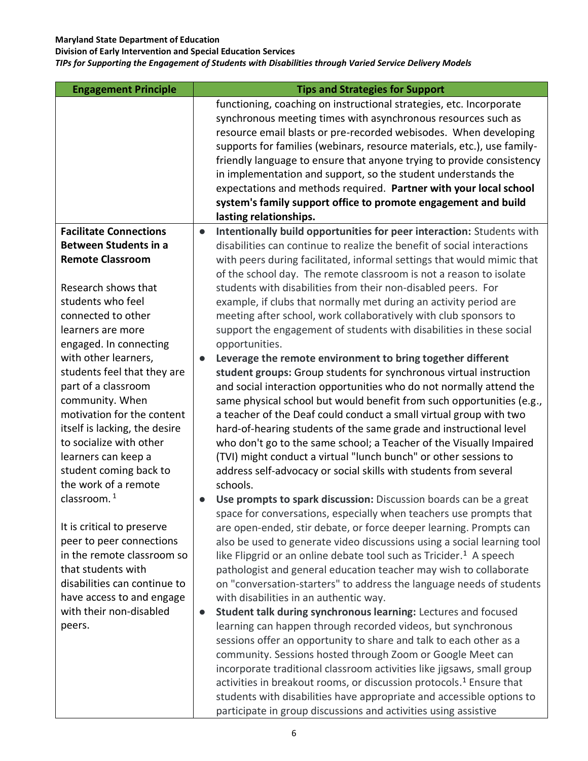**Division of Early Intervention and Special Education Services**

*TIPs for Supporting the Engagement of Students with Disabilities through Varied Service Delivery Models*

| <b>Engagement Principle</b>   |           | <b>Tips and Strategies for Support</b>                                          |
|-------------------------------|-----------|---------------------------------------------------------------------------------|
|                               |           | functioning, coaching on instructional strategies, etc. Incorporate             |
|                               |           | synchronous meeting times with asynchronous resources such as                   |
|                               |           | resource email blasts or pre-recorded webisodes. When developing                |
|                               |           | supports for families (webinars, resource materials, etc.), use family-         |
|                               |           | friendly language to ensure that anyone trying to provide consistency           |
|                               |           | in implementation and support, so the student understands the                   |
|                               |           | expectations and methods required. Partner with your local school               |
|                               |           | system's family support office to promote engagement and build                  |
|                               |           | lasting relationships.                                                          |
| <b>Facilitate Connections</b> | $\bullet$ | Intentionally build opportunities for peer interaction: Students with           |
| <b>Between Students in a</b>  |           | disabilities can continue to realize the benefit of social interactions         |
| <b>Remote Classroom</b>       |           | with peers during facilitated, informal settings that would mimic that          |
|                               |           | of the school day. The remote classroom is not a reason to isolate              |
| Research shows that           |           | students with disabilities from their non-disabled peers. For                   |
| students who feel             |           | example, if clubs that normally met during an activity period are               |
| connected to other            |           | meeting after school, work collaboratively with club sponsors to                |
| learners are more             |           | support the engagement of students with disabilities in these social            |
| engaged. In connecting        |           | opportunities.                                                                  |
| with other learners,          | $\bullet$ | Leverage the remote environment to bring together different                     |
| students feel that they are   |           | student groups: Group students for synchronous virtual instruction              |
| part of a classroom           |           | and social interaction opportunities who do not normally attend the             |
| community. When               |           | same physical school but would benefit from such opportunities (e.g.,           |
| motivation for the content    |           | a teacher of the Deaf could conduct a small virtual group with two              |
| itself is lacking, the desire |           | hard-of-hearing students of the same grade and instructional level              |
| to socialize with other       |           | who don't go to the same school; a Teacher of the Visually Impaired             |
| learners can keep a           |           | (TVI) might conduct a virtual "lunch bunch" or other sessions to                |
| student coming back to        |           | address self-advocacy or social skills with students from several               |
| the work of a remote          |           | schools.                                                                        |
| classroom. <sup>1</sup>       | $\bullet$ | Use prompts to spark discussion: Discussion boards can be a great               |
|                               |           | space for conversations, especially when teachers use prompts that              |
| It is critical to preserve    |           | are open-ended, stir debate, or force deeper learning. Prompts can              |
| peer to peer connections      |           | also be used to generate video discussions using a social learning tool         |
| in the remote classroom so    |           | like Flipgrid or an online debate tool such as Tricider. <sup>1</sup> A speech  |
| that students with            |           | pathologist and general education teacher may wish to collaborate               |
| disabilities can continue to  |           | on "conversation-starters" to address the language needs of students            |
| have access to and engage     |           | with disabilities in an authentic way.                                          |
| with their non-disabled       | $\bullet$ | Student talk during synchronous learning: Lectures and focused                  |
| peers.                        |           | learning can happen through recorded videos, but synchronous                    |
|                               |           | sessions offer an opportunity to share and talk to each other as a              |
|                               |           | community. Sessions hosted through Zoom or Google Meet can                      |
|                               |           | incorporate traditional classroom activities like jigsaws, small group          |
|                               |           | activities in breakout rooms, or discussion protocols. <sup>1</sup> Ensure that |
|                               |           | students with disabilities have appropriate and accessible options to           |
|                               |           | participate in group discussions and activities using assistive                 |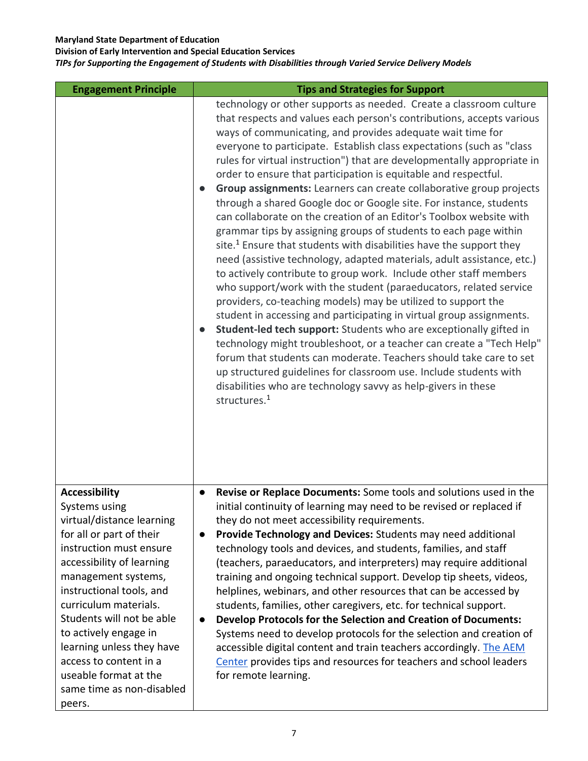**Division of Early Intervention and Special Education Services**

| <b>Engagement Principle</b>                                                                                                                                                                                                                                                                                                                                                                                     | <b>Tips and Strategies for Support</b>                                                                                                                                                                                                                                                                                                                                                                                                                                                                                                                                                                                                                                                                                                                                                                                                                                                                                                                                                                                                                                                                                                                                                                                                                                                                                                                                                                                                                                                                                                                          |
|-----------------------------------------------------------------------------------------------------------------------------------------------------------------------------------------------------------------------------------------------------------------------------------------------------------------------------------------------------------------------------------------------------------------|-----------------------------------------------------------------------------------------------------------------------------------------------------------------------------------------------------------------------------------------------------------------------------------------------------------------------------------------------------------------------------------------------------------------------------------------------------------------------------------------------------------------------------------------------------------------------------------------------------------------------------------------------------------------------------------------------------------------------------------------------------------------------------------------------------------------------------------------------------------------------------------------------------------------------------------------------------------------------------------------------------------------------------------------------------------------------------------------------------------------------------------------------------------------------------------------------------------------------------------------------------------------------------------------------------------------------------------------------------------------------------------------------------------------------------------------------------------------------------------------------------------------------------------------------------------------|
|                                                                                                                                                                                                                                                                                                                                                                                                                 | technology or other supports as needed. Create a classroom culture<br>that respects and values each person's contributions, accepts various<br>ways of communicating, and provides adequate wait time for<br>everyone to participate. Establish class expectations (such as "class"<br>rules for virtual instruction") that are developmentally appropriate in<br>order to ensure that participation is equitable and respectful.<br>Group assignments: Learners can create collaborative group projects<br>through a shared Google doc or Google site. For instance, students<br>can collaborate on the creation of an Editor's Toolbox website with<br>grammar tips by assigning groups of students to each page within<br>site. <sup>1</sup> Ensure that students with disabilities have the support they<br>need (assistive technology, adapted materials, adult assistance, etc.)<br>to actively contribute to group work. Include other staff members<br>who support/work with the student (paraeducators, related service<br>providers, co-teaching models) may be utilized to support the<br>student in accessing and participating in virtual group assignments.<br>Student-led tech support: Students who are exceptionally gifted in<br>technology might troubleshoot, or a teacher can create a "Tech Help"<br>forum that students can moderate. Teachers should take care to set<br>up structured guidelines for classroom use. Include students with<br>disabilities who are technology savvy as help-givers in these<br>structures. <sup>1</sup> |
| <b>Accessibility</b><br>Systems using<br>virtual/distance learning<br>for all or part of their<br>instruction must ensure<br>accessibility of learning<br>management systems,<br>instructional tools, and<br>curriculum materials.<br>Students will not be able<br>to actively engage in<br>learning unless they have<br>access to content in a<br>useable format at the<br>same time as non-disabled<br>peers. | Revise or Replace Documents: Some tools and solutions used in the<br>initial continuity of learning may need to be revised or replaced if<br>they do not meet accessibility requirements.<br>Provide Technology and Devices: Students may need additional<br>$\bullet$<br>technology tools and devices, and students, families, and staff<br>(teachers, paraeducators, and interpreters) may require additional<br>training and ongoing technical support. Develop tip sheets, videos,<br>helplines, webinars, and other resources that can be accessed by<br>students, families, other caregivers, etc. for technical support.<br>Develop Protocols for the Selection and Creation of Documents:<br>Systems need to develop protocols for the selection and creation of<br>accessible digital content and train teachers accordingly. The AEM<br>Center provides tips and resources for teachers and school leaders<br>for remote learning.                                                                                                                                                                                                                                                                                                                                                                                                                                                                                                                                                                                                                    |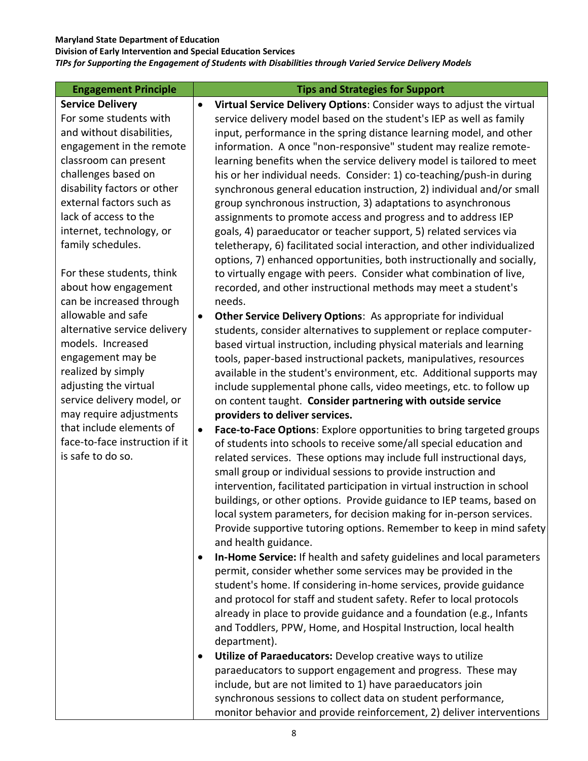**Division of Early Intervention and Special Education Services**

| <b>Engagement Principle</b>                         |           | <b>Tips and Strategies for Support</b>                                                                                                                                                                                                                                                                                                                                                                                                                                                                                                                                                                                                                                                                                                                                           |
|-----------------------------------------------------|-----------|----------------------------------------------------------------------------------------------------------------------------------------------------------------------------------------------------------------------------------------------------------------------------------------------------------------------------------------------------------------------------------------------------------------------------------------------------------------------------------------------------------------------------------------------------------------------------------------------------------------------------------------------------------------------------------------------------------------------------------------------------------------------------------|
| <b>Service Delivery</b>                             | $\bullet$ | Virtual Service Delivery Options: Consider ways to adjust the virtual                                                                                                                                                                                                                                                                                                                                                                                                                                                                                                                                                                                                                                                                                                            |
| For some students with                              |           | service delivery model based on the student's IEP as well as family                                                                                                                                                                                                                                                                                                                                                                                                                                                                                                                                                                                                                                                                                                              |
| and without disabilities,                           |           | input, performance in the spring distance learning model, and other                                                                                                                                                                                                                                                                                                                                                                                                                                                                                                                                                                                                                                                                                                              |
| engagement in the remote                            |           | information. A once "non-responsive" student may realize remote-                                                                                                                                                                                                                                                                                                                                                                                                                                                                                                                                                                                                                                                                                                                 |
| classroom can present                               |           | learning benefits when the service delivery model is tailored to meet                                                                                                                                                                                                                                                                                                                                                                                                                                                                                                                                                                                                                                                                                                            |
| challenges based on                                 |           | his or her individual needs. Consider: 1) co-teaching/push-in during                                                                                                                                                                                                                                                                                                                                                                                                                                                                                                                                                                                                                                                                                                             |
| disability factors or other                         |           | synchronous general education instruction, 2) individual and/or small                                                                                                                                                                                                                                                                                                                                                                                                                                                                                                                                                                                                                                                                                                            |
| external factors such as                            |           | group synchronous instruction, 3) adaptations to asynchronous                                                                                                                                                                                                                                                                                                                                                                                                                                                                                                                                                                                                                                                                                                                    |
| lack of access to the                               |           | assignments to promote access and progress and to address IEP                                                                                                                                                                                                                                                                                                                                                                                                                                                                                                                                                                                                                                                                                                                    |
| internet, technology, or                            |           | goals, 4) paraeducator or teacher support, 5) related services via                                                                                                                                                                                                                                                                                                                                                                                                                                                                                                                                                                                                                                                                                                               |
| family schedules.                                   |           | teletherapy, 6) facilitated social interaction, and other individualized                                                                                                                                                                                                                                                                                                                                                                                                                                                                                                                                                                                                                                                                                                         |
|                                                     |           | options, 7) enhanced opportunities, both instructionally and socially,                                                                                                                                                                                                                                                                                                                                                                                                                                                                                                                                                                                                                                                                                                           |
| For these students, think                           |           | to virtually engage with peers. Consider what combination of live,                                                                                                                                                                                                                                                                                                                                                                                                                                                                                                                                                                                                                                                                                                               |
| about how engagement                                |           | recorded, and other instructional methods may meet a student's                                                                                                                                                                                                                                                                                                                                                                                                                                                                                                                                                                                                                                                                                                                   |
| can be increased through                            |           | needs.                                                                                                                                                                                                                                                                                                                                                                                                                                                                                                                                                                                                                                                                                                                                                                           |
| allowable and safe                                  | $\bullet$ | Other Service Delivery Options: As appropriate for individual                                                                                                                                                                                                                                                                                                                                                                                                                                                                                                                                                                                                                                                                                                                    |
| alternative service delivery                        |           | students, consider alternatives to supplement or replace computer-                                                                                                                                                                                                                                                                                                                                                                                                                                                                                                                                                                                                                                                                                                               |
| models. Increased                                   |           | based virtual instruction, including physical materials and learning                                                                                                                                                                                                                                                                                                                                                                                                                                                                                                                                                                                                                                                                                                             |
| engagement may be                                   |           | tools, paper-based instructional packets, manipulatives, resources                                                                                                                                                                                                                                                                                                                                                                                                                                                                                                                                                                                                                                                                                                               |
| realized by simply                                  |           | available in the student's environment, etc. Additional supports may                                                                                                                                                                                                                                                                                                                                                                                                                                                                                                                                                                                                                                                                                                             |
| adjusting the virtual                               |           | include supplemental phone calls, video meetings, etc. to follow up                                                                                                                                                                                                                                                                                                                                                                                                                                                                                                                                                                                                                                                                                                              |
| service delivery model, or                          |           | on content taught. Consider partnering with outside service                                                                                                                                                                                                                                                                                                                                                                                                                                                                                                                                                                                                                                                                                                                      |
| may require adjustments                             |           | providers to deliver services.                                                                                                                                                                                                                                                                                                                                                                                                                                                                                                                                                                                                                                                                                                                                                   |
| that include elements of                            | $\bullet$ | Face-to-Face Options: Explore opportunities to bring targeted groups                                                                                                                                                                                                                                                                                                                                                                                                                                                                                                                                                                                                                                                                                                             |
| face-to-face instruction if it<br>is safe to do so. |           | of students into schools to receive some/all special education and                                                                                                                                                                                                                                                                                                                                                                                                                                                                                                                                                                                                                                                                                                               |
|                                                     |           | related services. These options may include full instructional days,                                                                                                                                                                                                                                                                                                                                                                                                                                                                                                                                                                                                                                                                                                             |
|                                                     |           | small group or individual sessions to provide instruction and                                                                                                                                                                                                                                                                                                                                                                                                                                                                                                                                                                                                                                                                                                                    |
|                                                     |           | intervention, facilitated participation in virtual instruction in school                                                                                                                                                                                                                                                                                                                                                                                                                                                                                                                                                                                                                                                                                                         |
|                                                     |           | buildings, or other options. Provide guidance to IEP teams, based on                                                                                                                                                                                                                                                                                                                                                                                                                                                                                                                                                                                                                                                                                                             |
|                                                     |           | local system parameters, for decision making for in-person services.                                                                                                                                                                                                                                                                                                                                                                                                                                                                                                                                                                                                                                                                                                             |
|                                                     |           | Provide supportive tutoring options. Remember to keep in mind safety                                                                                                                                                                                                                                                                                                                                                                                                                                                                                                                                                                                                                                                                                                             |
|                                                     |           | and health guidance.                                                                                                                                                                                                                                                                                                                                                                                                                                                                                                                                                                                                                                                                                                                                                             |
|                                                     |           |                                                                                                                                                                                                                                                                                                                                                                                                                                                                                                                                                                                                                                                                                                                                                                                  |
|                                                     |           |                                                                                                                                                                                                                                                                                                                                                                                                                                                                                                                                                                                                                                                                                                                                                                                  |
|                                                     |           |                                                                                                                                                                                                                                                                                                                                                                                                                                                                                                                                                                                                                                                                                                                                                                                  |
|                                                     |           |                                                                                                                                                                                                                                                                                                                                                                                                                                                                                                                                                                                                                                                                                                                                                                                  |
|                                                     |           |                                                                                                                                                                                                                                                                                                                                                                                                                                                                                                                                                                                                                                                                                                                                                                                  |
|                                                     |           |                                                                                                                                                                                                                                                                                                                                                                                                                                                                                                                                                                                                                                                                                                                                                                                  |
|                                                     |           |                                                                                                                                                                                                                                                                                                                                                                                                                                                                                                                                                                                                                                                                                                                                                                                  |
|                                                     |           |                                                                                                                                                                                                                                                                                                                                                                                                                                                                                                                                                                                                                                                                                                                                                                                  |
|                                                     |           |                                                                                                                                                                                                                                                                                                                                                                                                                                                                                                                                                                                                                                                                                                                                                                                  |
|                                                     |           |                                                                                                                                                                                                                                                                                                                                                                                                                                                                                                                                                                                                                                                                                                                                                                                  |
|                                                     |           |                                                                                                                                                                                                                                                                                                                                                                                                                                                                                                                                                                                                                                                                                                                                                                                  |
|                                                     | ٠<br>٠    | In-Home Service: If health and safety guidelines and local parameters<br>permit, consider whether some services may be provided in the<br>student's home. If considering in-home services, provide guidance<br>and protocol for staff and student safety. Refer to local protocols<br>already in place to provide guidance and a foundation (e.g., Infants<br>and Toddlers, PPW, Home, and Hospital Instruction, local health<br>department).<br>Utilize of Paraeducators: Develop creative ways to utilize<br>paraeducators to support engagement and progress. These may<br>include, but are not limited to 1) have paraeducators join<br>synchronous sessions to collect data on student performance,<br>monitor behavior and provide reinforcement, 2) deliver interventions |